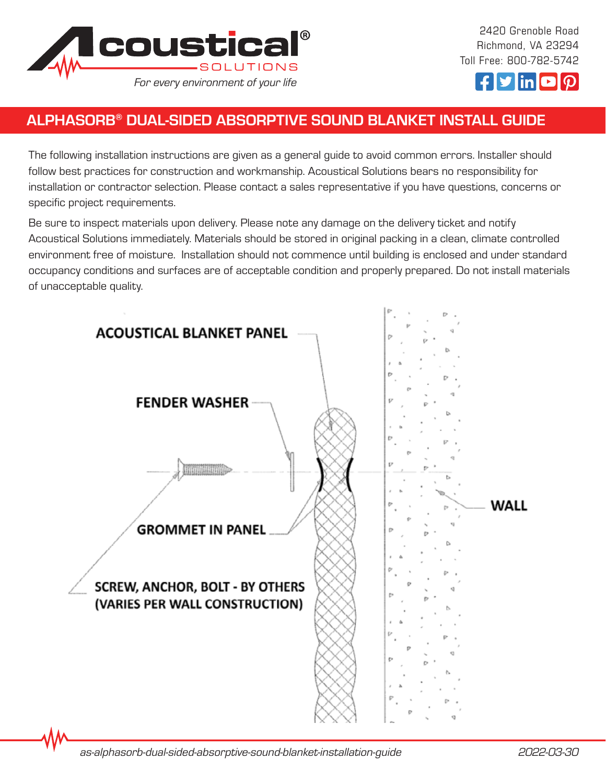

2420 Grenoble Road Richmond, VA 23294 Toll Free: 800-782-5742



# ALPHASORB® DUAL-SIDED ABSORPTIVE SOUND BLANKET INSTALL GUIDE

The following installation instructions are given as a general guide to avoid common errors. Installer should follow best practices for construction and workmanship. Acoustical Solutions bears no responsibility for installation or contractor selection. Please contact a sales representative if you have questions, concerns or specific project requirements.

Be sure to inspect materials upon delivery. Please note any damage on the delivery ticket and notify Acoustical Solutions immediately. Materials should be stored in original packing in a clean, climate controlled environment free of moisture. Installation should not commence until building is enclosed and under standard occupancy conditions and surfaces are of acceptable condition and properly prepared. Do not install materials of unacceptable quality.



*as-alphasorb-dual-sided-absorptive-sound-blanket-installation-guide 2022-03-30*

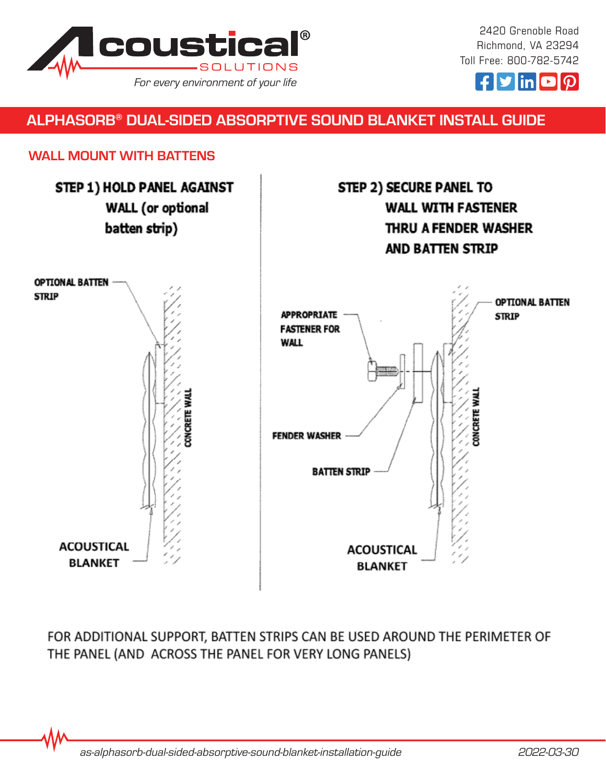

2420 Grenoble Road Richmond, VA 23294 Toll Free: 800-782-5742



### ALPHASORB® DUAL-SIDED ABSORPTIVE SOUND BLANKET INSTALL GUIDE

#### WALL MOUNT WITH BATTENS



FOR ADDITIONAL SUPPORT, BATTEN STRIPS CAN BE USED AROUND THE PERIMETER OF THE PANEL (AND ACROSS THE PANEL FOR VERY LONG PANELS)

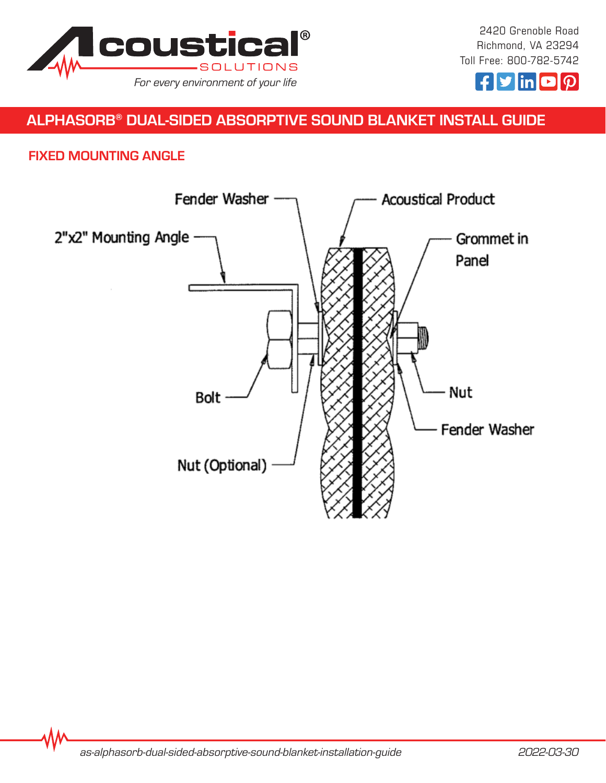



# ALPHASORB® DUAL-SIDED ABSORPTIVE SOUND BLANKET INSTALL GUIDE

#### FIXED MOUNTING ANGLE